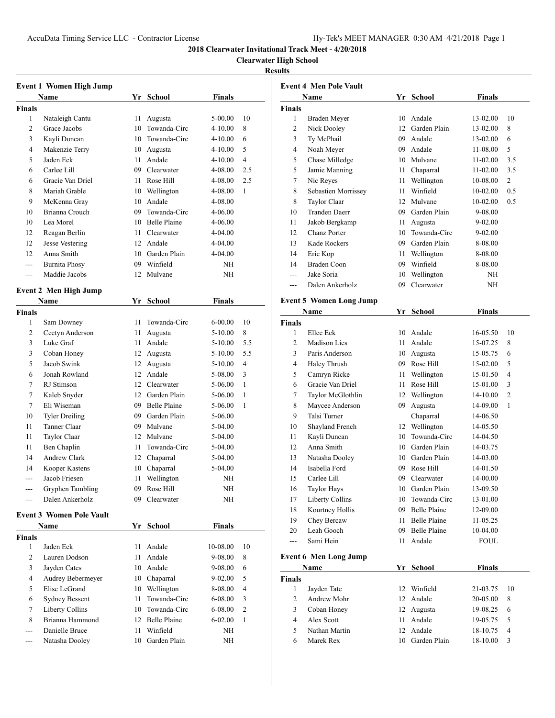# **Clearwater High School**

|                | <b>Event 1 Women High Jump</b>  |    |                 |               |                |
|----------------|---------------------------------|----|-----------------|---------------|----------------|
|                | Name                            |    | Yr School       | <b>Finals</b> |                |
| <b>Finals</b>  |                                 |    |                 |               |                |
| 1              | Nataleigh Cantu                 | 11 | Augusta         | 5-00.00       | 10             |
| 2              | Grace Jacobs                    | 10 | Towanda-Circ    | $4 - 10.00$   | 8              |
| 3              | Kayli Duncan                    |    | 10 Towanda-Circ | 4-10.00       | 6              |
| 4              | Makenzie Terry                  |    | 10 Augusta      | 4-10.00       | 5              |
| 5              | Jaden Eck                       |    | 11 Andale       | $4 - 10.00$   | $\overline{4}$ |
| 6              | Carlee Lill                     |    | 09 Clearwater   | 4-08.00       | 2.5            |
| 6              | Gracie Van Driel                | 11 | Rose Hill       | 4-08.00       | 2.5            |
| 8              | Mariah Grable                   |    | 10 Wellington   | 4-08.00       | 1              |
| 9              | McKenna Gray                    |    | 10 Andale       | 4-08.00       |                |
| 10             | Brianna Crouch                  |    | 09 Towanda-Circ | 4-06.00       |                |
| 10             | Lea Morel                       |    | 10 Belle Plaine | 4-06.00       |                |
| 12             | Reagan Berlin                   | 11 | Clearwater      | 4-04.00       |                |
| 12             | Jesse Vestering                 |    | 12 Andale       | 4-04.00       |                |
| 12             | Anna Smith                      |    | 10 Garden Plain | 4-04.00       |                |
| ---            | <b>Burnita Phosy</b>            |    | 09 Winfield     | NΗ            |                |
| ---            | Maddie Jacobs                   | 12 | Mulvane         | NΗ            |                |
|                | <b>Event 2 Men High Jump</b>    |    |                 |               |                |
|                | Name                            |    | Yr School       | <b>Finals</b> |                |
| <b>Finals</b>  |                                 |    |                 |               |                |
| 1              | Sam Downey                      | 11 | Towanda-Circ    | 6-00.00       | 10             |
| 2              | Ceetyn Anderson                 | 11 | Augusta         | 5-10.00       | 8              |
| 3              | Luke Graf                       | 11 | Andale          | 5-10.00       | 5.5            |
| 3              | Coban Honey                     | 12 | Augusta         | 5-10.00       | 5.5            |
| 5              | Jacob Swink                     | 12 | Augusta         | 5-10.00       | 4              |
| 6              | Jonah Rowland                   |    | 12 Andale       | 5-08.00       | 3              |
| 7              | RJ Stimson                      |    | 12 Clearwater   | 5-06.00       | 1              |
| 7              | Kaleb Snyder                    |    | 12 Garden Plain | 5-06.00       | 1              |
| 7              | Eli Wiseman                     |    | 09 Belle Plaine | 5-06.00       | 1              |
| 10             | <b>Tyler Dreiling</b>           |    | 09 Garden Plain | 5-06.00       |                |
| 11             | Tanner Claar                    |    | 09 Mulvane      | 5-04.00       |                |
| 11             | Taylor Claar                    |    | 12 Mulvane      | 5-04.00       |                |
| 11             | Ben Chaplin                     | 11 | Towanda-Circ    | 5-04.00       |                |
| 14             | Andrew Clark                    |    | 12 Chaparral    | 5-04.00       |                |
| 14             | Kooper Kastens                  | 10 | Chaparral       | 5-04.00       |                |
| ---            | Jacob Friesen                   | 11 | Wellington      | NΗ            |                |
|                | Gryphen Tambling                | 09 | Rose Hill       | NH            |                |
|                | Dalen Ankerholz                 | 09 | Clearwater      | NΗ            |                |
|                | <b>Event 3 Women Pole Vault</b> |    |                 |               |                |
|                | Name                            |    | Yr School       | Finals        |                |
| Finals         |                                 |    |                 |               |                |
| 1              | Jaden Eck                       | 11 | Andale          | 10-08.00      | 10             |
| $\overline{c}$ | Lauren Dodson                   | 11 | Andale          | 9-08.00       | 8              |
| 3              | Jayden Cates                    | 10 | Andale          | 9-08.00       | 6              |
| 4              | Audrey Bebermeyer               |    | 10 Chaparral    | 9-02.00       | 5              |
| 5              | Elise LeGrand                   | 10 | Wellington      | 8-08.00       | 4              |
| 6              | <b>Sydney Bessent</b>           | 11 | Towanda-Circ    | 6-08.00       | 3              |
| 7              | Liberty Collins                 |    | 10 Towanda-Circ | 6-08.00       | 2              |
| 8              | Brianna Hammond                 |    | 12 Belle Plaine | 6-02.00       | 1              |
|                | Danielle Bruce                  | 11 | Winfield        | ΝH            |                |
|                | Natasha Dooley                  | 10 | Garden Plain    | NΗ            |                |
|                |                                 |    |                 |               |                |

|                    | <b>Event 4 Men Pole Vault</b>  |                  |                     |                      |                |
|--------------------|--------------------------------|------------------|---------------------|----------------------|----------------|
|                    | Name                           |                  | Yr School           | Finals               |                |
| Finals             |                                |                  |                     |                      |                |
| 1                  | Braden Meyer                   |                  | 10 Andale           | 13-02.00             | 10             |
| $\overline{c}$     | Nick Dooley                    |                  | 12 Garden Plain     | 13-02.00             | 8              |
| 3                  | Ty McPhail                     |                  | 09 Andale           | 13-02.00             | 6              |
| 4                  | Noah Meyer                     |                  | 09 Andale           | 11-08.00             | 5              |
| 5                  | Chase Milledge                 |                  | 10 Mulvane          | 11-02.00             | 3.5            |
| 5                  | Jamie Manning                  | 11 -             | Chaparral           | 11-02.00             | 3.5            |
| 7                  | Nic Reyes                      | 11 -             | Wellington          | 10-08.00             | 2              |
| 8                  | Sebastien Morrissey            | 11               | Winfield            | 10-02.00             | 0.5            |
| 8                  | Taylor Claar                   | 12 <sup>12</sup> | Mulvane             | 10-02.00             | 0.5            |
| 10                 | <b>Tranden Daerr</b>           |                  | 09 Garden Plain     | 9-08.00              |                |
| 11                 | Jakob Bergkamp                 | 11               | Augusta             | 9-02.00              |                |
| 12                 | Chanz Porter                   |                  | 10 Towanda-Circ     | 9-02.00              |                |
| 13                 | Kade Rockers                   |                  | 09 Garden Plain     | 8-08.00              |                |
| 14                 | Eric Kop                       | 11               | Wellington          | 8-08.00              |                |
| 14                 | Braden Coon                    |                  | 09 Winfield         | 8-08.00              |                |
| ---                | Jake Soria                     | 10               | Wellington          | NH                   |                |
| ---                | Dalen Ankerholz                | 09               | Clearwater          | NH                   |                |
|                    |                                |                  |                     |                      |                |
|                    | <b>Event 5 Women Long Jump</b> |                  |                     |                      |                |
|                    | <b>Name</b>                    |                  | Yr School           | Finals               |                |
| <b>Finals</b><br>1 |                                |                  | 10 Andale           |                      |                |
| 2                  | Ellee Eck<br>Madison Lies      | 11 -             | Andale              | 16-05.50<br>15-07.25 | 10<br>8        |
| 3                  | Paris Anderson                 |                  | 10 Augusta          | 15-05.75             | 6              |
| 4                  | Haley Thrush                   |                  | 09 Rose Hill        | 15-02.00             | 5              |
| 5                  | Camryn Ricke                   |                  | 11 Wellington       | 15-01.50             | 4              |
| 6                  | Gracie Van Driel               | 11               | Rose Hill           | 15-01.00             | 3              |
| 7                  | Taylor McGlothlin              |                  | 12 Wellington       | 14-10.00             | $\overline{c}$ |
| 8                  | Maycee Anderson                | 09               | Augusta             | 14-09.00             | 1              |
| 9                  | Talsi Turner                   |                  | Chaparral           | 14-06.50             |                |
| 10                 | Shayland French                |                  | 12 Wellington       | 14-05.50             |                |
| 11                 | Kayli Duncan                   |                  | 10 Towanda-Circ     | 14-04.50             |                |
| 12                 | Anna Smith                     |                  | 10 Garden Plain     | 14-03.75             |                |
| 13                 | Natasha Dooley                 |                  | 10 Garden Plain     | 14-03.00             |                |
| 14                 | Isabella Ford                  | 09               | Rose Hill           | 14-01.50             |                |
| 15                 | Carlee Lill                    | 09               | Clearwater          | 14-00.00             |                |
| 16                 | <b>Taylor Hays</b>             |                  | 10 Garden Plain     | 13-09.50             |                |
| 17                 | Liberty Collins                | 10               | Towanda-Circ        | 13-01.00             |                |
| 18                 | Kourtney Hollis                |                  | 09 Belle Plaine     | 12-09.00             |                |
| 19                 | Chey Bercaw                    | 11               | Belle Plaine        | 11-05.25             |                |
| 20                 | Leah Gooch                     | 09               | <b>Belle Plaine</b> | 10-04.00             |                |
| $\overline{a}$     | Sami Hein                      | 11               | Andale              | <b>FOUL</b>          |                |
|                    |                                |                  |                     |                      |                |
|                    | <b>Event 6 Men Long Jump</b>   |                  |                     |                      |                |
|                    | Name                           | Yr               | <b>School</b>       | Finals               |                |
| Finals             |                                |                  |                     |                      |                |
| 1                  | Jayden Tate                    | 12               | Winfield            | 21-03.75             | 10             |
| $\overline{c}$     | Andrew Mohr                    | 12               | Andale              | 20-05.00             | 8              |
| 3                  | Coban Honey                    | 12               | Augusta             | 19-08.25             | 6              |
| 4                  | Alex Scott                     | 11               | Andale              | 19-05.75             | 5              |
| 5                  | Nathan Martin                  | 12               | Andale              | 18-10.75             | $\overline{4}$ |
| 6                  | Marek Rex                      | 10               | Garden Plain        | 18-10.00             | 3              |
|                    |                                |                  |                     |                      |                |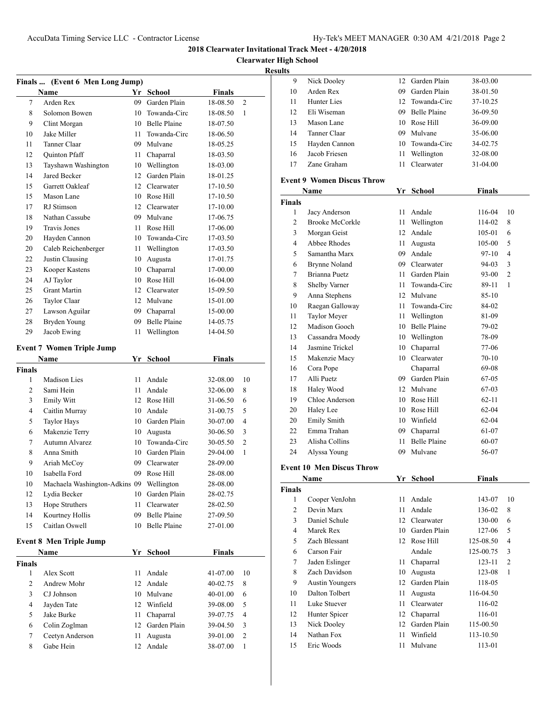**Clearwater High School**

|               | Finals  (Event 6 Men Long Jump)          |    |                     |               |                |
|---------------|------------------------------------------|----|---------------------|---------------|----------------|
|               | <b>Name</b>                              |    | Yr School           | <b>Finals</b> |                |
| 7             | Arden Rex                                | 09 | Garden Plain        | 18-08.50      | $\overline{c}$ |
| 8             | Solomon Bowen                            |    | 10 Towanda-Circ     | 18-08.50      | 1              |
| 9             | Clint Morgan                             |    | 10 Belle Plaine     | 18-07.50      |                |
| 10            | Jake Miller                              | 11 | Towanda-Circ        | 18-06.50      |                |
| 11            | Tanner Claar                             |    | 09 Mulvane          | 18-05.25      |                |
| 12            | <b>Quinton Pfaff</b>                     | 11 | Chaparral           | 18-03.50      |                |
| 13            | Tayshawn Washington                      |    | 10 Wellington       | 18-03.00      |                |
| 14            | Jared Becker                             | 12 | Garden Plain        | 18-01.25      |                |
| 15            | Garrett Oakleaf                          |    | 12 Clearwater       | 17-10.50      |                |
| 15            | Mason Lane                               |    | 10 Rose Hill        | 17-10.50      |                |
| 17            | RJ Stimson                               |    | 12 Clearwater       | 17-10.00      |                |
| 18            | Nathan Cassube                           |    | 09 Mulvane          | 17-06.75      |                |
| 19            | <b>Travis Jones</b>                      | 11 | Rose Hill           | 17-06.00      |                |
| 20            | Hayden Cannon                            |    | 10 Towanda-Circ     | 17-03.50      |                |
| 20            | Caleb Reichenberger                      | 11 | Wellington          | 17-03.50      |                |
| 22            | Justin Clausing                          | 10 | Augusta             | 17-01.75      |                |
| 23            | Kooper Kastens                           | 10 | Chaparral           | 17-00.00      |                |
| 24            | AJ Taylor                                | 10 | Rose Hill           | 16-04.00      |                |
| 25            | <b>Grant Martin</b>                      |    | 12 Clearwater       | 15-09.50      |                |
| 26            | Taylor Claar                             |    | 12 Mulvane          | 15-01.00      |                |
| 27            | Lawson Aguilar                           |    | 09 Chaparral        | 15-00.00      |                |
| 28            | Bryden Young                             |    | 09 Belle Plaine     | 14-05.75      |                |
| 29            | Jacob Ewing                              | 11 | Wellington          | 14-04.50      |                |
|               |                                          |    |                     |               |                |
|               | <b>Event 7 Women Triple Jump</b>         |    |                     |               |                |
|               | Name                                     |    | Yr School           | <b>Finals</b> |                |
| <b>Finals</b> |                                          |    |                     |               |                |
| 1             | <b>Madison Lies</b>                      | 11 | Andale              | 32-08.00      | 10             |
| 2             | Sami Hein                                | 11 | Andale              | 32-06.00      | 8              |
| 3             | Emily Witt                               |    | 12 Rose Hill        | 31-06.50      | 6              |
| 4             | Caitlin Murray                           | 10 | Andale              | 31-00.75      | 5              |
| 5             | <b>Taylor Hays</b>                       |    | 10 Garden Plain     | 30-07.00      | 4              |
| 6             | Makenzie Terry                           |    | 10 Augusta          | 30-06.50      | 3              |
| 7             | Autumn Alvarez                           |    | 10 Towanda-Circ     | 30-05.50      | $\overline{c}$ |
| 8             | Anna Smith                               |    | 10 Garden Plain     | 29-04.00      | $\mathbf{1}$   |
| 9             | Ariah McCoy                              |    | 09 Clearwater       | 28-09.00      |                |
| 10            | Isabella Ford                            |    | 09 Rose Hill        | 28-08.00      |                |
| 10            | Machaela Washington-Adkins 09 Wellington |    |                     | 28-08.00      |                |
| 12            | Lydia Becker                             |    | 10 Garden Plain     | 28-02.75      |                |
| 13            | Hope Struthers                           | 11 | Clearwater          | 28-02.50      |                |
| 14            | Kourtney Hollis                          | 09 | Belle Plaine        | 27-09.50      |                |
| 15            | Caitlan Oswell                           | 10 | <b>Belle Plaine</b> | 27-01.00      |                |
|               | <b>Event 8 Men Triple Jump</b>           |    |                     |               |                |
|               | Name                                     | Yr | <b>School</b>       | <b>Finals</b> |                |
| <b>Finals</b> |                                          |    |                     |               |                |
| 1             | Alex Scott                               | 11 | Andale              | 41-07.00      | 10             |
| 2             | Andrew Mohr                              |    | 12 Andale           | 40-02.75      | 8              |
| 3             | CJ Johnson                               |    | 10 Mulvane          | 40-01.00      | 6              |
| 4             | Jayden Tate                              |    | 12 Winfield         | 39-08.00      | 5              |
| 5             | Jake Burke                               | 11 | Chaparral           | 39-07.75      | 4              |
| 6             | Colin Zoglman                            |    | 12 Garden Plain     | 39-04.50      | 3              |
| 7             | Ceetyn Anderson                          | 11 | Augusta             | 39-01.00      | $\overline{c}$ |
| 8             | Gabe Hein                                | 12 | Andale              | 38-07.00      | 1              |
|               |                                          |    |                     |               |                |

| 9              | Nick Dooley                       | 12   | Garden Plain        | 38-03.00      |                |
|----------------|-----------------------------------|------|---------------------|---------------|----------------|
| 10             | Arden Rex                         |      | 09 Garden Plain     | 38-01.50      |                |
| 11             | Hunter Lies                       |      | 12 Towanda-Circ     | 37-10.25      |                |
| 12             | Eli Wiseman                       |      | 09 Belle Plaine     | 36-09.50      |                |
| 13             | Mason Lane                        |      | 10 Rose Hill        | 36-09.00      |                |
| 14             | Tanner Claar                      |      | 09 Mulvane          | 35-06.00      |                |
| 15             | Hayden Cannon                     |      | 10 Towanda-Circ     | 34-02.75      |                |
| 16             | Jacob Friesen                     | 11 - | Wellington          | 32-08.00      |                |
| 17             | Zane Graham                       | 11 - | Clearwater          | 31-04.00      |                |
|                |                                   |      |                     |               |                |
|                | <b>Event 9 Women Discus Throw</b> |      |                     |               |                |
|                | Name                              |      | Yr School           | <b>Finals</b> |                |
| <b>Finals</b>  |                                   |      |                     |               |                |
| 1              | Jacy Anderson                     | 11 - | Andale              | 116-04        | 10             |
| 2              | <b>Brooke McCorkle</b>            | 11 - | Wellington          | 114-02        | 8              |
| 3              | Morgan Geist                      |      | 12 Andale           | 105-01        | 6              |
| 4              | Abbee Rhodes                      |      | 11 Augusta          | 105-00        | 5              |
| 5              | Samantha Marx                     |      | 09 Andale           | 97-10         | $\overline{4}$ |
| 6              | Brynne Noland                     |      | 09 Clearwater       | 94-03         | 3              |
| 7              | Brianna Puetz                     | 11 - | Garden Plain        | 93-00         | 2              |
| 8              | Shelby Varner                     | 11 - | Towanda-Circ        | 89-11         | 1              |
| 9              | Anna Stephens                     |      | 12 Mulvane          | 85-10         |                |
| 10             | Raegan Galloway                   | 11 - | Towanda-Circ        | 84-02         |                |
| 11             | <b>Taylor Meyer</b>               |      | 11 Wellington       | 81-09         |                |
| 12             | Madison Gooch                     |      | 10 Belle Plaine     | 79-02         |                |
| 13             | Cassandra Moody                   |      | 10 Wellington       | 78-09         |                |
| 14             | Jasmine Trickel                   |      | 10 Chaparral        | 77-06         |                |
| 15             | Makenzie Macy                     |      | 10 Clearwater       | $70-10$       |                |
| 16             | Cora Pope                         |      | Chaparral           | 69-08         |                |
| 17             | Alli Puetz                        |      | 09 Garden Plain     | 67-05         |                |
| 18             | Haley Wood                        |      | 12 Mulvane          | 67-03         |                |
| 19             | Chloe Anderson                    |      | 10 Rose Hill        | $62 - 11$     |                |
| 20             | Haley Lee                         |      | 10 Rose Hill        | $62 - 04$     |                |
| 20             | <b>Emily Smith</b>                |      | 10 Winfield         | $62 - 04$     |                |
| 22             | Emma Trahan                       |      | 09 Chaparral        | 61-07         |                |
| 23             | Alisha Collins                    | 11   | <b>Belle Plaine</b> | 60-07         |                |
| 24             | Alyssa Young                      |      | 09 Mulvane          | 56-07         |                |
|                |                                   |      |                     |               |                |
|                | <b>Event 10 Men Discus Throw</b>  |      |                     |               |                |
|                | Name                              | Yr   | <b>School</b>       | <b>Finals</b> |                |
| <b>Finals</b>  |                                   |      |                     |               |                |
| 1              | Cooper VenJohn                    | 11 - | Andale              | 143-07        | 10             |
| $\overline{c}$ | Devin Marx                        | 11   | Andale              | 136-02        | 8              |
| 3              | Daniel Schule                     |      | 12 Clearwater       | 130-00        | 6              |
| $\overline{4}$ | Marek Rex                         |      | 10 Garden Plain     | 127-06        | 5              |
| 5              | Zach Blessant                     |      | 12 Rose Hill        | 125-08.50     | 4              |
| 6              | Carson Fair                       |      | Andale              | 125-00.75     | 3              |
| 7              | Jaden Eslinger                    | 11 - | Chaparral           | 123-11        | 2              |
| 8              | Zach Davidson                     | 10   | Augusta             | 123-08        | $\mathbf{1}$   |
| 9              | <b>Austin Youngers</b>            | 12   | Garden Plain        | 118-05        |                |
| 10             | Dalton Tolbert                    | 11   | Augusta             | 116-04.50     |                |
| 11             | Luke Stuever                      | 11 - | Clearwater          | 116-02        |                |
| 12             | Hunter Spicer                     | 12   | Chaparral           | 116-01        |                |
| 13             | Nick Dooley                       |      | 12 Garden Plain     | 115-00.50     |                |
| 14             | Nathan Fox                        | 11   | Winfield            | 113-10.50     |                |
| 15             | Eric Woods                        | 11   | Mulvane             | 113-01        |                |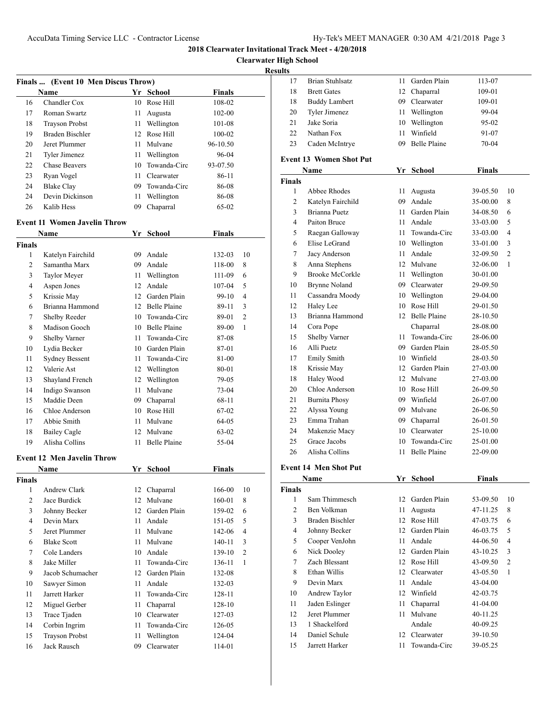**Clearwater High School**

| Finals  (Event 10 Men Discus Throw) |                                     |      |                     |               |                |
|-------------------------------------|-------------------------------------|------|---------------------|---------------|----------------|
|                                     | Name                                |      | Yr School           | Finals        |                |
| 16                                  | Chandler Cox                        | 10   | Rose Hill           | 108-02        |                |
| 17                                  | Roman Swartz                        | 11   | Augusta             | 102-00        |                |
| 18                                  | <b>Trayson Probst</b>               | 11 - | Wellington          | 101-08        |                |
| 19                                  | Braden Bischler                     |      | 12 Rose Hill        | 100-02        |                |
| 20                                  | Jeret Plummer                       | 11   | Mulvane             | 96-10.50      |                |
| 21                                  | Tyler Jimenez                       | 11 - | Wellington          | 96-04         |                |
| 22                                  | <b>Chase Beavers</b>                | 10   | Towanda-Circ        | 93-07.50      |                |
| 23                                  | Ryan Vogel                          | 11 - | Clearwater          | 86-11         |                |
| 24                                  | <b>Blake Clay</b>                   | 09   | Towanda-Circ        | 86-08         |                |
| 24                                  | Devin Dickinson                     | 11   | Wellington          | 86-08         |                |
| 26                                  | Kalib Hess                          | 09   | Chaparral           | 65-02         |                |
|                                     | <b>Event 11 Women Javelin Throw</b> |      |                     |               |                |
|                                     | Name                                |      | Yr School           | <b>Finals</b> |                |
| <b>Finals</b>                       |                                     |      |                     |               |                |
| 1                                   | Katelyn Fairchild                   | 09   | Andale              | 132-03        | 10             |
| 2                                   | Samantha Marx                       |      | 09 Andale           | 118-00        | 8              |
| 3                                   | Taylor Meyer                        | 11 - | Wellington          | 111-09        | 6              |
| 4                                   | Aspen Jones                         |      | 12 Andale           | 107-04        | 5              |
| 5                                   | Krissie May                         |      | 12 Garden Plain     | 99-10         | 4              |
| 6                                   | Brianna Hammond                     |      | 12 Belle Plaine     | 89-11         | 3              |
| 7                                   | Shelby Reeder                       |      | 10 Towanda-Circ     | 89-01         | $\overline{c}$ |
| 8                                   | Madison Gooch                       |      | 10 Belle Plaine     | 89-00         | 1              |
| 9                                   | Shelby Varner                       | 11   | Towanda-Circ        | 87-08         |                |
| 10                                  | Lydia Becker                        |      | 10 Garden Plain     |               |                |
|                                     |                                     |      |                     | 87-01         |                |
| 11                                  | <b>Sydney Bessent</b>               | 11   | Towanda-Circ        | 81-00         |                |
| 12                                  | Valerie Ast                         |      | 12 Wellington       | 80-01         |                |
| 13                                  | Shayland French                     |      | 12 Wellington       | 79-05         |                |
| 14                                  | Indigo Swanson                      | 11 - | Mulvane             | 73-04         |                |
| 15                                  | Maddie Deen                         | 09   | Chaparral           | 68-11         |                |
| 16                                  | Chloe Anderson                      |      | 10 Rose Hill        | 67-02         |                |
| 17                                  | Abbie Smith                         | 11   | Mulvane             | 64-05         |                |
| 18                                  | <b>Bailey Cagle</b>                 | 12   | Mulvane             | 63-02         |                |
| 19                                  | Alisha Collins                      | 11   | <b>Belle Plaine</b> | 55-04         |                |
|                                     | <b>Event 12 Men Javelin Throw</b>   |      |                     |               |                |
|                                     | Name                                |      | Yr School           | <b>Finals</b> |                |
| Finals                              |                                     |      |                     |               |                |
| 1                                   | Andrew Clark                        | 12   | Chaparral           | 166-00        | 10             |
| 2                                   | Jace Burdick                        | 12   | Mulvane             | 160-01        | 8              |
| 3                                   | Johnny Becker                       | 12   | Garden Plain        | 159-02        | 6              |
| 4                                   | Devin Marx                          | 11   | Andale              | 151-05        | 5              |
| 5                                   | Jeret Plummer                       | 11   | Mulvane             | 142-06        | $\overline{4}$ |
| 6                                   | <b>Blake Scott</b>                  | 11   | Mulvane             | 140-11        | 3              |
| 7                                   | Cole Landers                        | 10   | Andale              | 139-10        | 2              |
| 8                                   | Jake Miller                         | 11   | Towanda-Circ        | 136-11        | $\mathbf{1}$   |
| 9                                   | Jacob Schumacher                    | 12   | Garden Plain        | 132-08        |                |
| 10                                  | Sawyer Simon                        | 11   | Andale              | 132-03        |                |
| 11                                  | Jarrett Harker                      | 11   | Towanda-Circ        | 128-11        |                |
| 12                                  | Miguel Gerber                       | 11   | Chaparral           | 128-10        |                |
| 13                                  | Trace Tjaden                        | 10   | Clearwater          | 127-03        |                |
| 14                                  | Corbin Ingrim                       | 11   | Towanda-Circ        | 126-05        |                |
| 15                                  | <b>Trayson Probst</b>               | 11   | Wellington          | 124-04        |                |
| 16                                  | Jack Rausch                         | 09   | Clearwater          | 114-01        |                |
|                                     |                                     |      |                     |               |                |

| 17             | <b>Brian Stuhlsatz</b>         | 11   | Garden Plain        | 113-07        |                |
|----------------|--------------------------------|------|---------------------|---------------|----------------|
| 18             | <b>Brett Gates</b>             | 12   | Chaparral           | 109-01        |                |
| 18             | <b>Buddy Lambert</b>           |      | 09 Clearwater       | 109-01        |                |
| 20             | Tyler Jimenez                  | 11 - | Wellington          | 99-04         |                |
| 21             | Jake Soria                     |      | 10 Wellington       | 95-02         |                |
| 22             | Nathan Fox                     | 11 - | Winfield            | 91-07         |                |
| 23             | Caden McIntrye                 |      | 09 Belle Plaine     | 70-04         |                |
|                |                                |      |                     |               |                |
|                | <b>Event 13 Women Shot Put</b> |      |                     |               |                |
|                | Name                           | Yr   | <b>School</b>       | <b>Finals</b> |                |
| <b>Finals</b>  |                                |      |                     |               |                |
| 1              | Abbee Rhodes                   | 11 - | Augusta             | 39-05.50      | 10             |
| 2              | Katelyn Fairchild              |      | 09 Andale           | 35-00.00      | 8              |
| 3              | <b>Brianna Puetz</b>           |      | 11 Garden Plain     | 34-08.50      | 6              |
| 4              | Paiton Bruce                   |      | 11 Andale           | 33-03.00      | 5              |
| 5              | Raegan Galloway                | 11 - | Towanda-Circ        | 33-03.00      | 4              |
| 6              | Elise LeGrand                  |      | 10 Wellington       | 33-01.00      | 3              |
| 7              | Jacy Anderson                  | 11 - | Andale              | 32-09.50      | $\overline{2}$ |
| 8              | Anna Stephens                  |      | 12 Mulvane          | 32-06.00      | $\mathbf{1}$   |
| 9              | <b>Brooke McCorkle</b>         | 11 - | Wellington          | 30-01.00      |                |
| 10             | <b>Brynne Noland</b>           |      | 09 Clearwater       | 29-09.50      |                |
| 11             | Cassandra Moody                |      | 10 Wellington       | 29-04.00      |                |
| 12             | Haley Lee                      |      | 10 Rose Hill        | 29-01.50      |                |
| 13             | Brianna Hammond                |      | 12 Belle Plaine     | 28-10.50      |                |
| 14             | Cora Pope                      |      | Chaparral           | 28-08.00      |                |
| 15             | Shelby Varner                  | 11 - | Towanda-Circ        | 28-06.00      |                |
| 16             | Alli Puetz                     |      | 09 Garden Plain     | 28-05.50      |                |
| 17             | <b>Emily Smith</b>             |      | 10 Winfield         | 28-03.50      |                |
| 18             | Krissie May                    |      | 12 Garden Plain     | 27-03.00      |                |
| 18             | Haley Wood                     |      | 12 Mulvane          | 27-03.00      |                |
| 20             | Chloe Anderson                 |      | 10 Rose Hill        | 26-09.50      |                |
| 21             | <b>Burnita Phosy</b>           |      | 09 Winfield         | 26-07.00      |                |
| 22             | Alyssa Young                   |      | 09 Mulvane          | 26-06.50      |                |
| 23             | Emma Trahan                    |      | 09 Chaparral        | 26-01.50      |                |
| 24             | Makenzie Macy                  |      | 10 Clearwater       | 25-10.00      |                |
| 25             | Grace Jacobs                   |      | 10 Towanda-Circ     | 25-01.00      |                |
| 26             | Alisha Collins                 | 11   | <b>Belle Plaine</b> | 22-09.00      |                |
|                | <b>Event 14 Men Shot Put</b>   |      |                     |               |                |
|                | Name                           |      | Yr School           | <b>Finals</b> |                |
| <b>Finals</b>  |                                |      |                     |               |                |
| $\mathbf{1}$   | Sam Thimmesch                  | 12   | Garden Plain        | 53-09.50      | 10             |
| $\overline{c}$ | Ben Volkman                    | 11   | Augusta             | 47-11.25      | 8              |
| 3              | <b>Braden Bischler</b>         | 12   | Rose Hill           | 47-03.75      | 6              |
| 4              | Johnny Becker                  | 12   | Garden Plain        | 46-03.75      | 5              |
| 5              | Cooper VenJohn                 | 11   | Andale              | 44-06.50      | $\overline{4}$ |
| 6              | Nick Dooley                    | 12   | Garden Plain        | 43-10.25      | 3              |
| 7              | Zach Blessant                  | 12   | Rose Hill           | 43-09.50      | $\overline{c}$ |
| 8              | Ethan Willis                   | 12   | Clearwater          | 43-05.50      | 1              |
|                |                                |      |                     |               |                |

|                | Υr<br>School<br>Name |    | Finals       |          |                |
|----------------|----------------------|----|--------------|----------|----------------|
| <b>Finals</b>  |                      |    |              |          |                |
| 1              | Sam Thimmesch        | 12 | Garden Plain | 53-09.50 | 10             |
| $\overline{c}$ | Ben Volkman          | 11 | Augusta      | 47-11.25 | 8              |
| 3              | Braden Bischler      | 12 | Rose Hill    | 47-03.75 | 6              |
| 4              | Johnny Becker        | 12 | Garden Plain | 46-03.75 | 5              |
| 5              | Cooper VenJohn       | 11 | Andale       | 44-06.50 | 4              |
| 6              | Nick Dooley          | 12 | Garden Plain | 43-10.25 | 3              |
| 7              | Zach Blessant        | 12 | Rose Hill    | 43-09.50 | $\overline{2}$ |
| 8              | Ethan Willis         | 12 | Clearwater   | 43-05.50 | 1              |
| 9              | Devin Marx           | 11 | Andale       | 43-04.00 |                |
| 10             | Andrew Taylor        | 12 | Winfield     | 42-03.75 |                |
| 11             | Jaden Eslinger       | 11 | Chaparral    | 41-04.00 |                |
| 12             | Jeret Plummer        | 11 | Mulvane      | 40-11.25 |                |
| 13             | 1 Shackelford        |    | Andale       | 40-09.25 |                |
| 14             | Daniel Schule        | 12 | Clearwater   | 39-10.50 |                |
| 15             | Jarrett Harker       | 11 | Towanda-Circ | 39-05.25 |                |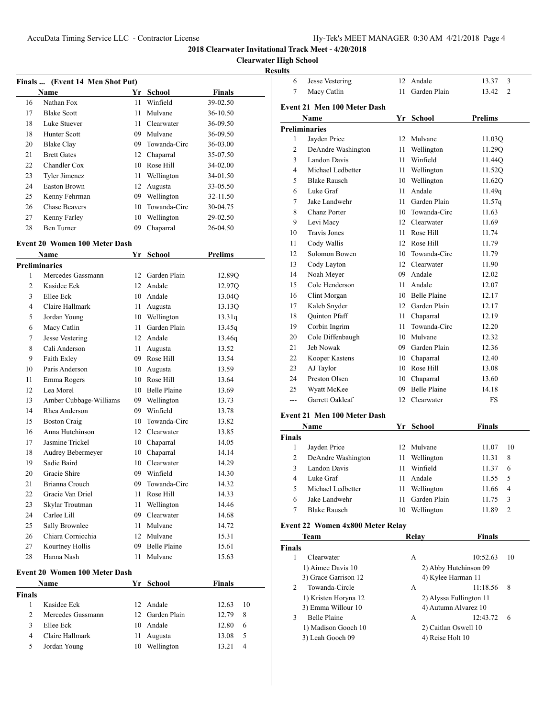# **Clearwater High School**

## **Results**

| Finals  (Event 14 Men Shot Put) |                      |     |              |               |  |  |
|---------------------------------|----------------------|-----|--------------|---------------|--|--|
|                                 | Name                 | Yr. | School       | <b>Finals</b> |  |  |
| 16                              | Nathan Fox           | 11  | Winfield     | 39-02.50      |  |  |
| 17                              | <b>Blake Scott</b>   | 11  | Mulvane      | 36-10.50      |  |  |
| 18                              | Luke Stuever         | 11  | Clearwater   | 36-09.50      |  |  |
| 18                              | Hunter Scott         | 09  | Mulvane      | 36-09.50      |  |  |
| 20                              | <b>Blake Clay</b>    | 09  | Towanda-Circ | 36-03.00      |  |  |
| 21                              | <b>Brett Gates</b>   | 12  | Chaparral    | 35-07.50      |  |  |
| 22                              | Chandler Cox         | 10  | Rose Hill    | 34-02.00      |  |  |
| 23                              | Tyler Jimenez        | 11  | Wellington   | 34-01.50      |  |  |
| 24                              | <b>Easton Brown</b>  | 12  | Augusta      | 33-05.50      |  |  |
| 25                              | Kenny Fehrman        | 09  | Wellington   | 32-11.50      |  |  |
| 26                              | <b>Chase Beavers</b> | 10  | Towanda-Circ | 30-04.75      |  |  |
| 27                              | Kenny Farley         | 10  | Wellington   | 29-02.50      |  |  |
| 28                              | Ben Turner           | 09  | Chaparral    | 26-04.50      |  |  |

#### **Event 20 Women 100 Meter Dash**

|        | Name                          | Yr   | <b>School</b>   | <b>Prelims</b> |  |
|--------|-------------------------------|------|-----------------|----------------|--|
|        | <b>Preliminaries</b>          |      |                 |                |  |
| 1      | Mercedes Gassmann             |      | 12 Garden Plain | 12.89Q         |  |
| 2      | Kasidee Eck                   |      | 12 Andale       | 12.97Q         |  |
| 3      | Ellee Eck                     |      | 10 Andale       | 13.04Q         |  |
| 4      | Claire Hallmark               |      | 11 Augusta      | 13.13Q         |  |
| 5      | Jordan Young                  |      | 10 Wellington   | 13.31q         |  |
| 6      | Macy Catlin                   | 11 - | Garden Plain    | 13.45q         |  |
| 7      | Jesse Vestering               |      | 12 Andale       | 13.46q         |  |
| 8      | Cali Anderson                 | 11 - | Augusta         | 13.52          |  |
| 9      | Faith Exley                   |      | 09 Rose Hill    | 13.54          |  |
| 10     | Paris Anderson                |      | 10 Augusta      | 13.59          |  |
| 11     | Emma Rogers                   |      | 10 Rose Hill    | 13.64          |  |
| 12     | Lea Morel                     |      | 10 Belle Plaine | 13.69          |  |
| 13     | Amber Cubbage-Williams        |      | 09 Wellington   | 13.73          |  |
| 14     | Rhea Anderson                 |      | 09 Winfield     | 13.78          |  |
| 15     | <b>Boston Craig</b>           |      | 10 Towanda-Circ | 13.82          |  |
| 16     | Anna Hutchinson               |      | 12 Clearwater   | 13.85          |  |
| 17     | Jasmine Trickel               |      | 10 Chaparral    | 14.05          |  |
| 18     | Audrey Bebermeyer             |      | 10 Chaparral    | 14.14          |  |
| 19     | Sadie Baird                   |      | 10 Clearwater   | 14.29          |  |
| 20     | Gracie Shire                  |      | 09 Winfield     | 14.30          |  |
| 21     | Brianna Crouch                |      | 09 Towanda-Circ | 14.32          |  |
| 22     | Gracie Van Driel              |      | 11 Rose Hill    | 14.33          |  |
| 23     | Skylar Troutman               |      | 11 Wellington   | 14.46          |  |
| 24     | Carlee Lill                   |      | 09 Clearwater   | 14.68          |  |
| 25     | Sally Brownlee                |      | 11 Mulvane      | 14.72          |  |
| 26     | Chiara Cornicchia             |      | 12 Mulvane      | 15.31          |  |
| 27     | Kourtney Hollis               |      | 09 Belle Plaine | 15.61          |  |
| 28     | Hanna Nash                    | 11   | Mulvane         | 15.63          |  |
|        | Event 20 Women 100 Meter Dash |      |                 |                |  |
|        | Name                          |      | Yr School       | <b>Finals</b>  |  |
| Finals |                               |      |                 |                |  |
| 1      | Kasidee Eck                   |      | 12 Andale       | 10<br>12.63    |  |
| 2      | Mercedes Gassmann             |      | 12 Garden Plain | 12.79<br>8     |  |
| 3      | Ellee Eck                     |      | 10 Andale       | 12.80<br>6     |  |
| 4      | Claire Hallmark               | 11   | Augusta         | 5<br>13.08     |  |
| 5      | Jordan Young                  |      | 10 Wellington   | 4<br>13.21     |  |

| 6   | <b>Jesse Vestering</b>             | 12   | Andale              | 13.37<br>3              |
|-----|------------------------------------|------|---------------------|-------------------------|
| 7   | Macy Catlin                        | 11   | Garden Plain        | $\overline{2}$<br>13.42 |
|     | <b>Event 21 Men 100 Meter Dash</b> |      |                     |                         |
|     | Name                               | Yr   | <b>School</b>       | <b>Prelims</b>          |
|     | <b>Preliminaries</b>               |      |                     |                         |
| 1   | Jayden Price                       | 12   | Mulvane             | 11.03Q                  |
| 2   | DeAndre Washington                 | 11   | Wellington          | 11.29Q                  |
| 3   | Landon Davis                       | 11   | Winfield            | 11.44Q                  |
| 4   | Michael Ledbetter                  | 11   | Wellington          | 11.52Q                  |
| 5   | <b>Blake Rausch</b>                |      | 10 Wellington       | 11.62Q                  |
| 6   | Luke Graf                          | 11   | Andale              | 11.49q                  |
| 7   | Jake Landwehr                      | 11   | Garden Plain        | 11.57q                  |
| 8   | Chanz Porter                       |      | 10 Towanda-Circ     | 11.63                   |
| 9   | Levi Macy                          | 12   | Clearwater          | 11.69                   |
| 10  | <b>Travis Jones</b>                | 11 - | Rose Hill           | 11.74                   |
| 11  | Cody Wallis                        |      | 12 Rose Hill        | 11.79                   |
| 12  | Solomon Bowen                      |      | 10 Towanda-Circ     | 11.79                   |
| 13  | Cody Layton                        |      | 12 Clearwater       | 11.90                   |
| 14  | Noah Meyer                         |      | 09 Andale           | 12.02                   |
| 15  | Cole Henderson                     | 11   | Andale              | 12.07                   |
| 16  | Clint Morgan                       |      | 10 Belle Plaine     | 12.17                   |
| 17  | Kaleb Snyder                       |      | 12 Garden Plain     | 12.17                   |
| 18  | <b>Quinton Pfaff</b>               | 11 - | Chaparral           | 12.19                   |
| 19  | Corbin Ingrim                      | 11   | Towanda-Circ        | 12.20                   |
| 20  | Cole Diffenbaugh                   |      | 10 Mulvane          | 12.32                   |
| 21  | Jeb Nowak                          | 09   | Garden Plain        | 12.36                   |
| 22  | Kooper Kastens                     |      | 10 Chaparral        | 12.40                   |
| 23  | AJ Taylor                          |      | 10 Rose Hill        | 13.08                   |
| 24  | Preston Olsen                      | 10   | Chaparral           | 13.60                   |
| 25  | Wyatt McKee                        | 09.  | <b>Belle Plaine</b> | 14.18                   |
| --- | Garrett Oakleaf                    | 12   | Clearwater          | FS                      |
|     | Event 21 Men 100 Meter Dash        |      |                     |                         |
|     | <b>Name</b>                        |      | Yr School           | <b>Finals</b>           |

|               | танг<br>. .<br>ovnovi |    | т піагэ      |       |                |
|---------------|-----------------------|----|--------------|-------|----------------|
| <b>Finals</b> |                       |    |              |       |                |
|               | Jayden Price          |    | 12 Mulvane   | 11.07 | 10             |
| 2             | DeAndre Washington    | 11 | Wellington   | 11.31 | 8              |
| 3             | Landon Davis          | 11 | Winfield     | 11.37 | 6              |
| 4             | Luke Graf             | 11 | Andale       | 11.55 | - 5            |
| 5             | Michael Ledbetter     | 11 | Wellington   | 11.66 | $\overline{4}$ |
| 6             | Jake Landwehr         |    | Garden Plain | 11.75 | 3              |
|               | <b>Blake Rausch</b>   | 10 | Wellington   | 11.89 | 2              |

# **Event 22 Women 4x800 Meter Relay**

|                | Team                 | Relav | Finals                  |    |
|----------------|----------------------|-------|-------------------------|----|
| <b>Finals</b>  |                      |       |                         |    |
|                | Clearwater           | A     | 10:52.63                | 10 |
|                | 1) Aimee Davis 10    |       | 2) Abby Hutchinson 09   |    |
|                | 3) Grace Garrison 12 |       | 4) Kylee Harman 11      |    |
| $\mathfrak{D}$ | Towanda-Circle       | А     | 11:18.56                | 8  |
|                | 1) Kristen Horyna 12 |       | 2) Alyssa Fullington 11 |    |
|                | 3) Emma Willour 10   |       | 4) Autumn Alvarez 10    |    |
| 3              | <b>Belle Plaine</b>  | А     | 12:43.72                | 6  |
|                | 1) Madison Gooch 10  |       | 2) Caitlan Oswell 10    |    |
|                | 3) Leah Gooch 09     |       | 4) Reise Holt 10        |    |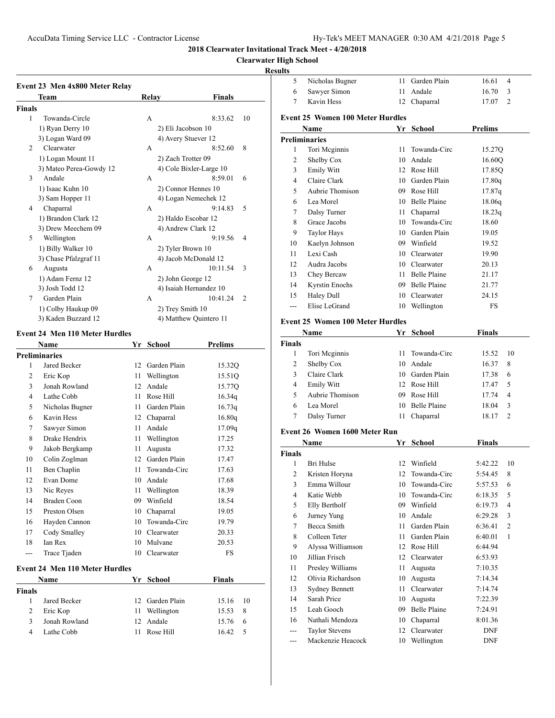# **Clearwater High School**

## **Results**

| Event 23 Men 4x800 Meter Relay |       |                            |
|--------------------------------|-------|----------------------------|
| Team                           | Relay | Finals                     |
| Finals                         |       |                            |
| 1<br>Towanda-Circle            | A     | 8:33.62<br>10              |
| 1) Ryan Derry 10               |       | 2) Eli Jacobson 10         |
| 3) Logan Ward 09               |       | 4) Avery Stuever 12        |
| Clearwater<br>2                | A     | 8<br>8:52.60               |
| 1) Logan Mount 11              |       | 2) Zach Trotter 09         |
| 3) Mateo Perea-Gowdy 12        |       | 4) Cole Bixler-Large 10    |
| 3<br>Andale                    | A     | 8:59.01<br>6               |
| 1) Isaac Kuhn 10               |       | 2) Connor Hennes 10        |
| 3) Sam Hopper 11               |       | 4) Logan Nemechek 12       |
| Chaparral<br>4                 | A     | 9:14.83<br>5               |
| 1) Brandon Clark 12            |       | 2) Haldo Escobar 12        |
| 3) Drew Meechem 09             |       | 4) Andrew Clark 12         |
| 5<br>Wellington                | A     | 9:19.56<br>4               |
| 1) Billy Walker 10             |       | 2) Tyler Brown 10          |
| 3) Chase Pfalzgraf 11          |       | 4) Jacob McDonald 12       |
| 6<br>Augusta                   | A     | 10:11.54<br>3              |
| 1) Adam Fernz 12               |       | 2) John George 12          |
| 3) Josh Todd 12                |       | 4) Isaiah Hernandez 10     |
| Garden Plain<br>7              | A     | 10:41.24<br>$\overline{2}$ |
| 1) Colby Haukup 09             |       | 2) Trey Smith 10           |
| 3) Kaden Buzzard 12            |       | 4) Matthew Quintero 11     |

## **Event 24 Men 110 Meter Hurdles**

|                | Name                                  | Yr  | <b>School</b> | <b>Prelims</b> |
|----------------|---------------------------------------|-----|---------------|----------------|
|                | <b>Preliminaries</b>                  |     |               |                |
| 1              | Jared Becker                          | 12  | Garden Plain  | 15.32Q         |
| $\overline{2}$ | Eric Kop                              | 11  | Wellington    | 15.51Q         |
| 3              | Jonah Rowland                         | 12. | Andale        | 15.77Q         |
| $\overline{4}$ | Lathe Cobb                            | 11  | Rose Hill     | 16.34q         |
| 5              | Nicholas Bugner                       | 11  | Garden Plain  | 16.73q         |
| 6              | Kavin Hess                            | 12  | Chaparral     | 16.80q         |
| 7              | Sawyer Simon                          | 11  | Andale        | 17.09q         |
| 8              | Drake Hendrix                         | 11  | Wellington    | 17.25          |
| 9              | Jakob Bergkamp                        | 11  | Augusta       | 17.32          |
| 10             | Colin Zoglman                         | 12  | Garden Plain  | 17.47          |
| 11             | Ben Chaplin                           | 11  | Towanda-Circ  | 17.63          |
| 12             | Evan Dome                             | 10  | Andale        | 17.68          |
| 13             | Nic Reyes                             | 11  | Wellington    | 18.39          |
| 14             | Braden Coon                           | 09  | Winfield      | 18.54          |
| 15             | Preston Olsen                         | 10  | Chaparral     | 19.05          |
| 16             | Hayden Cannon                         | 10  | Towanda-Circ  | 19.79          |
| 17             | Cody Smalley                          | 10  | Clearwater    | 20.33          |
| 18             | Ian Rex                               | 10  | Mulvane       | 20.53          |
| $- - -$        | Trace Tjaden                          | 10  | Clearwater    | <b>FS</b>      |
|                | <b>Event 24 Men 110 Meter Hurdles</b> |     |               |                |
|                | Name                                  | Yr  | School        | <b>Finals</b>  |
| Finals         |                                       |     |               |                |
| 1              | Jared Becker                          | 12  | Garden Plain  | 15.16<br>10    |
| 2              | Eric Kop                              | 11  | Wellington    | 8<br>15.53     |
| 3              | Jonah Rowland                         | 12  | Andale        | 15.76<br>6     |
| $\overline{4}$ | Lathe Cobb                            | 11  | Rose Hill     | 5<br>16.42     |

| 5              | Nicholas Bugner                         | 11   | Garden Plain                     | 16.61<br>4       |
|----------------|-----------------------------------------|------|----------------------------------|------------------|
| 6              | Sawyer Simon                            | 11   | Andale                           | 16.70<br>3       |
| 7              | Kavin Hess                              |      | 12 Chaparral                     | 17.07<br>2       |
|                |                                         |      |                                  |                  |
|                | <b>Event 25 Women 100 Meter Hurdles</b> |      |                                  |                  |
|                | Name<br><b>Preliminaries</b>            | Yr   | <b>School</b>                    | <b>Prelims</b>   |
| 1              | Tori Meginnis                           | 11   | Towanda-Circ                     |                  |
| 2              |                                         |      | 10 Andale                        | 15.27Q           |
| 3              | Shelby Cox<br>Emily Witt                |      | 12 Rose Hill                     | 16.60Q           |
| 4              | Claire Clark                            |      | 10 Garden Plain                  | 17.85Q           |
| 5              | Aubrie Thomison                         |      | 09 Rose Hill                     | 17.80q           |
| 6              | Lea Morel                               |      | 10 Belle Plaine                  | 17.87q<br>18.06q |
| 7              | Dalsy Turner                            |      | 11 Chaparral                     |                  |
| 8              | Grace Jacobs                            |      | 10 Towanda-Circ                  | 18.23q<br>18.60  |
| 9              | <b>Taylor Hays</b>                      |      | 10 Garden Plain                  |                  |
|                |                                         |      |                                  | 19.05            |
| 10             | Kaelyn Johnson<br>Lexi Cash             |      | 09 Winfield                      | 19.52<br>19.90   |
| 11             | Audra Jacobs                            |      | 10 Clearwater<br>10 Clearwater   |                  |
| 12             | Chey Bercaw                             |      |                                  | 20.13            |
| 13             |                                         |      | 11 Belle Plaine                  | 21.17            |
| 14             | Kyrstin Enochs                          |      | 09 Belle Plaine<br>10 Clearwater | 21.77            |
| 15             | Haley Dull<br>Elise LeGrand             |      |                                  | 24.15            |
| ---            |                                         |      | 10 Wellington                    | FS               |
|                | <b>Event 25 Women 100 Meter Hurdles</b> |      |                                  |                  |
|                | Name                                    | Yr   | School                           | <b>Finals</b>    |
| <b>Finals</b>  |                                         |      |                                  |                  |
| 1              | Tori Meginnis                           | 11   | Towanda-Circ                     | 15.52<br>10      |
| 2              | Shelby Cox                              |      | 10 Andale                        | 16.37<br>8       |
| 3              | Claire Clark                            |      | 10 Garden Plain                  | 17.38<br>6       |
| 4              | Emily Witt                              |      | 12 Rose Hill                     | 5<br>17.47       |
| 5              | Aubrie Thomison                         |      | 09 Rose Hill                     | 17.74<br>4       |
| 6              | Lea Morel                               | 10   | <b>Belle Plaine</b>              | 3<br>18.04       |
| 7              | Dalsy Turner                            | 11   | Chaparral                        | 2<br>18.17       |
|                | Event 26 Women 1600 Meter Run           |      |                                  |                  |
|                | Name                                    |      | Yr School                        | <b>Finals</b>    |
| <b>Finals</b>  |                                         |      |                                  |                  |
| 1              | Bri Hulse                               |      | 12 Winfield                      | 10<br>5:42.22    |
| 2              | Kristen Horyna                          | 12   | Towanda-Circ                     | 5:54.45<br>8     |
| 3              | Emma Willour                            | 10   | Towanda-Circ                     | 6<br>5:57.53     |
| 4              | Katie Webb                              | 10   | Towanda-Circ                     | 5<br>6:18.35     |
| 5              | Elly Bertholf                           |      | 09 Winfield                      | 4<br>6:19.73     |
| 6              | Jurney Yung                             |      | 10 Andale                        | 6:29.28<br>3     |
| 7              | Becca Smith                             | 11   | Garden Plain                     | 2<br>6:36.41     |
| 8              | Colleen Teter                           | 11 - | Garden Plain                     | 1<br>6:40.01     |
| 9              | Alyssa Williamson                       |      | 12 Rose Hill                     | 6:44.94          |
| 10             | Jillian Frisch                          | 12   | Clearwater                       | 6:53.93          |
| 11             | Presley Williams                        | 11   | Augusta                          | 7:10.35          |
| 12             | Olivia Richardson                       | 10   | Augusta                          | 7:14.34          |
| 13             | <b>Sydney Bennett</b>                   | 11   | Clearwater                       | 7:14.74          |
| 14             | Sarah Price                             | 10   | Augusta                          | 7:22.39          |
| 15             | Leah Gooch                              | 09   | <b>Belle Plaine</b>              | 7:24.91          |
| 16             | Nathali Mendoza                         | 10   | Chaparral                        | 8:01.36          |
| $\overline{a}$ | <b>Taylor Stevens</b>                   | 12   | Clearwater                       | DNF              |
|                | Mackenzie Heacock                       |      | 10 Wellington                    | DNF              |
|                |                                         |      |                                  |                  |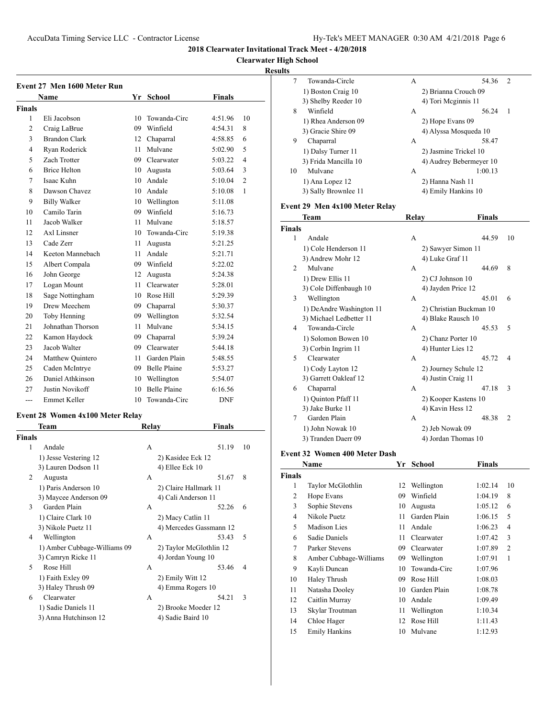**Clearwater High School**

## **Results**

|                | Event 27 Men 1600 Meter Run |         |                     |               |                |  |  |
|----------------|-----------------------------|---------|---------------------|---------------|----------------|--|--|
|                | <b>Name</b>                 |         | Yr School           | <b>Finals</b> |                |  |  |
| Finals         |                             |         |                     |               |                |  |  |
| 1              | Eli Jacobson                | 10      | Towanda-Circ        | 4:51.96       | 10             |  |  |
| $\overline{2}$ | Craig LaBrue                | 09      | Winfield            | 4:54.31       | 8              |  |  |
| 3              | <b>Brandon Clark</b>        | 12      | Chaparral           | 4:58.85       | 6              |  |  |
| $\overline{4}$ | Ryan Roderick               | 11      | Mulvane             | 5:02.90       | 5              |  |  |
| 5              | Zach Trotter                | 09      | Clearwater          | 5:03.22       | $\overline{4}$ |  |  |
| 6              | <b>Brice Helton</b>         | 10      | Augusta             | 5:03.64       | 3              |  |  |
| 7              | Isaac Kuhn                  | 10      | Andale              | 5:10.04       | $\overline{2}$ |  |  |
| 8              | Dawson Chavez               | 10      | Andale              | 5:10.08       | 1              |  |  |
| 9              | <b>Billy Walker</b>         | 10      | Wellington          | 5:11.08       |                |  |  |
| 10             | Camilo Tarin                | 09      | Winfield            | 5:16.73       |                |  |  |
| 11             | Jacob Walker                | 11      | Mulvane             | 5:18.57       |                |  |  |
| 12             | Axl Linsner                 | $10-10$ | Towanda-Circ        | 5:19.38       |                |  |  |
| 13             | Cade Zerr                   | 11      | Augusta             | 5:21.25       |                |  |  |
| 14             | Keeton Mannebach            | 11      | Andale              | 5:21.71       |                |  |  |
| 15             | Albert Compala              | 09      | Winfield            | 5:22.02       |                |  |  |
| 16             | John George                 | 12      | Augusta             | 5:24.38       |                |  |  |
| 17             | Logan Mount                 | 11      | Clearwater          | 5:28.01       |                |  |  |
| 18             | Sage Nottingham             |         | 10 Rose Hill        | 5:29.39       |                |  |  |
| 19             | Drew Meechem                | 09      | Chaparral           | 5:30.37       |                |  |  |
| 20             | Toby Henning                | 09      | Wellington          | 5:32.54       |                |  |  |
| 21             | Johnathan Thorson           | 11      | Mulvane             | 5:34.15       |                |  |  |
| 22             | Kamon Haydock               | 09      | Chaparral           | 5:39.24       |                |  |  |
| 23             | Jacob Walter                |         | 09 Clearwater       | 5:44.18       |                |  |  |
| 24             | Matthew Quintero            | 11      | Garden Plain        | 5:48.55       |                |  |  |
| 25             | Caden McIntrye              | 09      | <b>Belle Plaine</b> | 5:53.27       |                |  |  |
| 26             | Daniel Athkinson            |         | 10 Wellington       | 5:54.07       |                |  |  |
| 27             | Justin Novikoff             | 10      | <b>Belle Plaine</b> | 6:16.56       |                |  |  |
| $- - -$        | Emmet Keller                | 10      | Towanda-Circ        | <b>DNF</b>    |                |  |  |

## **Event 28 Women 4x100 Meter Relay**

|        | Team                         | Relav | <b>Finals</b>           |    |
|--------|------------------------------|-------|-------------------------|----|
| Finals |                              |       |                         |    |
| 1      | Andale                       | A     | 51.19                   | 10 |
|        | 1) Jesse Vestering 12        |       | 2) Kasidee Eck 12       |    |
|        | 3) Lauren Dodson 11          |       | 4) Ellee Eck 10         |    |
| 2      | Augusta                      | A     | 51.67                   | 8  |
|        | 1) Paris Anderson 10         |       | 2) Claire Hallmark 11   |    |
|        | 3) Maycee Anderson 09        |       | 4) Cali Anderson 11     |    |
| 3      | Garden Plain                 | A     | 52.26                   | 6  |
|        | 1) Claire Clark 10           |       | 2) Macy Catlin 11       |    |
|        | 3) Nikole Puetz 11           |       | 4) Mercedes Gassmann 12 |    |
| 4      | Wellington                   | A     | 53.43                   | 5  |
|        | 1) Amber Cubbage-Williams 09 |       | 2) Taylor McGlothlin 12 |    |
|        | 3) Camryn Ricke 11           |       | 4) Jordan Young 10      |    |
| 5      | Rose Hill                    | A     | 53.46                   | 4  |
|        | 1) Faith Exley 09            |       | 2) Emily Witt 12        |    |
|        | 3) Haley Thrush 09           |       | 4) Emma Rogers 10       |    |
| 6      | Clearwater                   | A     | 54.21                   | 3  |
|        | 1) Sadie Daniels 11          |       | 2) Brooke Moeder 12     |    |
|        | 3) Anna Hutchinson 12        |       | 4) Sadie Baird 10       |    |
|        |                              |       |                         |    |

| s  |                      |                         |   |
|----|----------------------|-------------------------|---|
| 7  | Towanda-Circle       | 54.36<br>A              | 2 |
|    | 1) Boston Craig 10   | 2) Brianna Crouch 09    |   |
|    | 3) Shelby Reeder 10  | 4) Tori Meginnis 11     |   |
| 8  | Winfield             | 56.24<br>А              | 1 |
|    | 1) Rhea Anderson 09  | 2) Hope Evans 09        |   |
|    | 3) Gracie Shire 09   | 4) Alyssa Mosqueda 10   |   |
| 9  | Chaparral            | 58.47<br>A              |   |
|    | 1) Dalsy Turner 11   | 2) Jasmine Trickel 10   |   |
|    | 3) Frida Mancilla 10 | 4) Audrey Bebermeyer 10 |   |
| 10 | Mulvane              | 1:00.13<br>A            |   |
|    | 1) Ana Lopez 12      | 2) Hanna Nash 11        |   |
|    | 3) Sally Brownlee 11 | 4) Emily Hankins 10     |   |
|    |                      |                         |   |

## **Event 29 Men 4x100 Meter Relay**

|               | Team                     | Relay              | <b>Finals</b>           |
|---------------|--------------------------|--------------------|-------------------------|
| <b>Finals</b> |                          |                    |                         |
| 1             | Andale                   | A                  | 44.59<br>10             |
|               | 1) Cole Henderson 11     | 2) Sawyer Simon 11 |                         |
|               | 3) Andrew Mohr 12        | 4) Luke Graf 11    |                         |
| 2             | Mulvane                  | A                  | 44.69<br>8              |
|               | 1) Drew Ellis 11         | 2) CJ Johnson 10   |                         |
|               | 3) Cole Diffenbaugh 10   | 4) Jayden Price 12 |                         |
| 3             | Wellington               | A                  | 45.01<br>6              |
|               | 1) DeAndre Washington 11 |                    | 2) Christian Buckman 10 |
|               | 3) Michael Ledbetter 11  |                    | 4) Blake Rausch 10      |
| 4             | Towanda-Circle           | A                  | 5<br>45.53              |
|               | 1) Solomon Bowen 10      |                    | 2) Chanz Porter 10      |
|               | 3) Corbin Ingrim 11      | 4) Hunter Lies 12  |                         |
| 5             | Clearwater               | A                  | 45.72<br>$\overline{4}$ |
|               | 1) Cody Layton 12        |                    | 2) Journey Schule 12    |
|               | 3) Garrett Oakleaf 12    | 4) Justin Craig 11 |                         |
| 6             | Chaparral                | A                  | 47.18<br>3              |
|               | 1) Quinton Pfaff 11      |                    | 2) Kooper Kastens 10    |
|               | 3) Jake Burke 11         | 4) Kavin Hess 12   |                         |
| 7             | Garden Plain             | A                  | 48.38<br>$\overline{c}$ |
|               | 1) John Nowak 10         | 2) Jeb Nowak 09    |                         |
|               | 3) Tranden Daerr 09      |                    | 4) Jordan Thomas 10     |

#### **Event 32 Women 400 Meter Dash**

 $\overline{a}$ 

|        | Name                   | Yr | School       | Finals  |                |
|--------|------------------------|----|--------------|---------|----------------|
| Finals |                        |    |              |         |                |
| 1      | Taylor McGlothlin      | 12 | Wellington   | 1:02.14 | 10             |
| 2      | Hope Evans             | 09 | Winfield     | 1:04.19 | 8              |
| 3      | Sophie Stevens         | 10 | Augusta      | 1:05.12 | 6              |
| 4      | Nikole Puetz           | 11 | Garden Plain | 1:06.15 | 5              |
| 5      | Madison Lies           | 11 | Andale       | 1:06.23 | 4              |
| 6      | Sadie Daniels          | 11 | Clearwater   | 1:07.42 | 3              |
| 7      | Parker Stevens         | 09 | Clearwater   | 1:07.89 | $\overline{2}$ |
| 8      | Amber Cubbage-Williams | 09 | Wellington   | 1:07.91 | 1              |
| 9      | Kayli Duncan           | 10 | Towanda-Circ | 1:07.96 |                |
| 10     | Haley Thrush           | 09 | Rose Hill    | 1:08.03 |                |
| 11     | Natasha Dooley         | 10 | Garden Plain | 1:08.78 |                |
| 12     | Caitlin Murray         | 10 | Andale       | 1:09.49 |                |
| 13     | Skylar Troutman        | 11 | Wellington   | 1:10.34 |                |
| 14     | Chloe Hager            | 12 | Rose Hill    | 1:11.43 |                |
| 15     | <b>Emily Hankins</b>   | 10 | Mulvane      | 1:12.93 |                |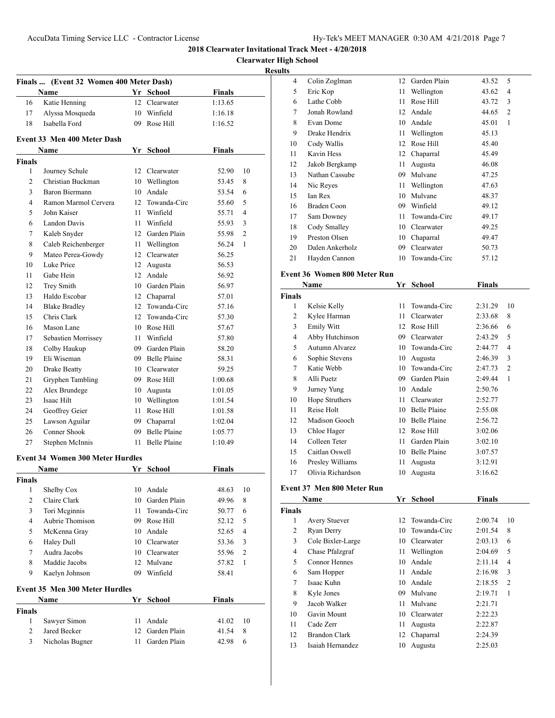## **Clearwater High School Results Finals ... (Event 32 Women 400 Meter Dash) Name Yr School Finals** 16 Katie Henning 12 Clearwater 1:13.65 Alyssa Mosqueda 10 Winfield 1:16.18 18 Isabella Ford 09 Rose Hill 1:16.52 **Event 33 Men 400 Meter Dash Name Yr School Finals Finals** Journey Schule 12 Clearwater 52.90 10 Christian Buckman 10 Wellington 53.45 8 Baron Biermann 10 Andale 53.54 6 Ramon Marmol Cervera 12 Towanda-Circ 55.60 5 John Kaiser 11 Winfield 55.71 4 Landon Davis 11 Winfield 55.93 3 Kaleb Snyder 12 Garden Plain 55.98 2 Caleb Reichenberger 11 Wellington 56.24 1 Mateo Perea-Gowdy 12 Clearwater 56.25 Luke Price 12 Augusta 56.53 Gabe Hein 12 Andale 56.92 12 Trey Smith 10 Garden Plain 56.97 Haldo Escobar 12 Chaparral 57.01 Blake Bradley 12 Towanda-Circ 57.16 15 Chris Clark 12 Towanda-Circ 57.30 16 Mason Lane 10 Rose Hill 57.67 Sebastien Morrissey 11 Winfield 57.80 Colby Haukup 09 Garden Plain 58.20 Eli Wiseman 09 Belle Plaine 58.31 Drake Beatty 10 Clearwater 59.25 21 Gryphen Tambling 09 Rose Hill 1:00.68 Alex Brundege 10 Augusta 1:01.05 23 Isaac Hilt 10 Wellington 1:01.54 24 Geoffrey Geier 11 Rose Hill 1:01.58 Lawson Aguilar 09 Chaparral 1:02.04 26 Conner Shook 09 Belle Plaine 1:05.77 27 Stephen McInnis 11 Belle Plaine 1:10.49 **Event 34 Women 300 Meter Hurdles Name Yr School Finals Finals** Shelby Cox 10 Andale 48.63 10 2 Claire Clark 10 Garden Plain 49.96 8 Tori Mcginnis 11 Towanda-Circ 50.77 6 4 Aubrie Thomison 09 Rose Hill 52.12 5 McKenna Gray 10 Andale 52.65 4 Haley Dull 10 Clearwater 53.36 3 Audra Jacobs 10 Clearwater 55.96 2 Maddie Jacobs 12 Mulvane 57.82 1 Kaelyn Johnson 09 Winfield 58.41 **Event 35 Men 300 Meter Hurdles Name Yr School Finals Finals** Sawyer Simon 11 Andale 41.02 10

2 Jared Becker 12 Garden Plain 41.54 8 Nicholas Bugner 11 Garden Plain 42.98 6

| 4  | Colin Zoglman   | 12 | Garden Plain | 43.52 | 5              |  |
|----|-----------------|----|--------------|-------|----------------|--|
| 5  | Eric Kop        | 11 | Wellington   | 43.62 | 4              |  |
| 6  | Lathe Cobb      | 11 | Rose Hill    | 43.72 | 3              |  |
| 7  | Jonah Rowland   | 12 | Andale       | 44.65 | $\overline{2}$ |  |
| 8  | Evan Dome       | 10 | Andale       | 45.01 | 1              |  |
| 9  | Drake Hendrix   | 11 | Wellington   | 45.13 |                |  |
| 10 | Cody Wallis     | 12 | Rose Hill    | 45.40 |                |  |
| 11 | Kavin Hess      | 12 | Chaparral    | 45.49 |                |  |
| 12 | Jakob Bergkamp  | 11 | Augusta      | 46.08 |                |  |
| 13 | Nathan Cassube  | 09 | Mulvane      | 47.25 |                |  |
| 14 | Nic Reyes       | 11 | Wellington   | 47.63 |                |  |
| 15 | Ian Rex         | 10 | Mulvane      | 48.37 |                |  |
| 16 | Braden Coon     | 09 | Winfield     | 49.12 |                |  |
| 17 | Sam Downey      | 11 | Towanda-Circ | 49.17 |                |  |
| 18 | Cody Smalley    | 10 | Clearwater   | 49.25 |                |  |
| 19 | Preston Olsen   | 10 | Chaparral    | 49.47 |                |  |
| 20 | Dalen Ankerholz | 09 | Clearwater   | 50.73 |                |  |
| 21 | Havden Cannon   | 10 | Towanda-Circ | 57.12 |                |  |

#### **Event 36 Women 800 Meter Run**

**2018 Clearwater Invitational Track Meet - 4/20/2018**

|        | Name              | Yr | School              | Finals  |    |
|--------|-------------------|----|---------------------|---------|----|
| Finals |                   |    |                     |         |    |
| 1      | Kelsie Kelly      | 11 | Towanda-Circ        | 2:31.29 | 10 |
| 2      | Kylee Harman      | 11 | Clearwater          | 2:33.68 | 8  |
| 3      | Emily Witt        | 12 | Rose Hill           | 2:36.66 | 6  |
| 4      | Abby Hutchinson   | 09 | Clearwater          | 2:43.29 | 5  |
| 5      | Autumn Alvarez    | 10 | Towanda-Circ        | 2:44.77 | 4  |
| 6      | Sophie Stevens    | 10 | Augusta             | 2:46.39 | 3  |
| 7      | Katie Webb        | 10 | Towanda-Circ        | 2:47.73 | 2  |
| 8      | Alli Puetz        | 09 | Garden Plain        | 2:49.44 | 1  |
| 9      | Jurney Yung       | 10 | Andale              | 2:50.76 |    |
| 10     | Hope Struthers    | 11 | Clearwater          | 2:52.77 |    |
| 11     | Reise Holt        | 10 | <b>Belle Plaine</b> | 2:55.08 |    |
| 12     | Madison Gooch     | 10 | <b>Belle Plaine</b> | 2:56.72 |    |
| 13     | Chloe Hager       | 12 | Rose Hill           | 3:02.06 |    |
| 14     | Colleen Teter     | 11 | Garden Plain        | 3:02.10 |    |
| 15     | Caitlan Oswell    | 10 | <b>Belle Plaine</b> | 3:07.57 |    |
| 16     | Presley Williams  | 11 | Augusta             | 3:12.91 |    |
| 17     | Olivia Richardson | 10 | Augusta             | 3:16.62 |    |

#### **Event 37 Men 800 Meter Run**

|               | Name                 | Yr | <b>School</b>   | <b>Finals</b> |                |
|---------------|----------------------|----|-----------------|---------------|----------------|
| <b>Finals</b> |                      |    |                 |               |                |
| 1             | <b>Avery Stuever</b> |    | 12 Towanda-Circ | 2:00.74       | 10             |
| 2             | <b>Ryan Derry</b>    | 10 | Towanda-Circ    | 2:01.54       | 8              |
| 3             | Cole Bixler-Large    | 10 | Clearwater      | 2:03.13       | 6              |
| 4             | Chase Pfalzgraf      | 11 | Wellington      | 2:04.69       | 5              |
| 5             | Connor Hennes        | 10 | Andale          | 2:11.14       | 4              |
| 6             | Sam Hopper           | 11 | Andale          | 2:16.98       | 3              |
| 7             | Isaac Kuhn           | 10 | Andale          | 2:18.55       | $\overline{2}$ |
| 8             | Kyle Jones           | 09 | Mulvane         | 2:19.71       | 1              |
| 9             | Jacob Walker         | 11 | Mulvane         | 2:21.71       |                |
| 10            | Gavin Mount          | 10 | Clearwater      | 2:22.23       |                |
| 11            | Cade Zerr            | 11 | Augusta         | 2:22.87       |                |
| 12            | Brandon Clark        | 12 | Chaparral       | 2:24.39       |                |
| 13            | Isaiah Hernandez     | 10 | Augusta         | 2:25.03       |                |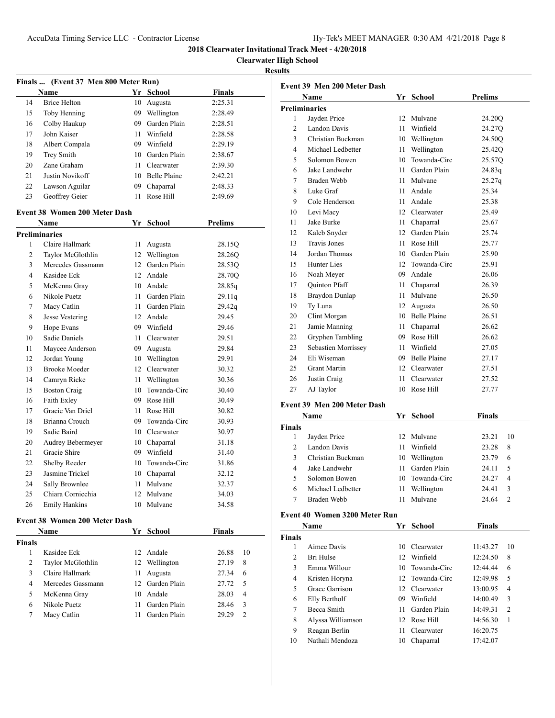**Clearwater High School**

|        | Finals  (Event 37 Men 800 Meter Run) |      |                 |                |
|--------|--------------------------------------|------|-----------------|----------------|
|        | <b>Name</b>                          |      | Yr School       | <b>Finals</b>  |
| 14     | <b>Brice Helton</b>                  | 10   | Augusta         | 2:25.31        |
| 15     | Toby Henning                         |      | 09 Wellington   | 2:28.49        |
| 16     | Colby Haukup                         |      | 09 Garden Plain | 2:28.51        |
| 17     | John Kaiser                          |      | 11 Winfield     | 2:28.58        |
| 18     | Albert Compala                       |      | 09 Winfield     | 2:29.19        |
| 19     | Trey Smith                           |      | 10 Garden Plain | 2:38.67        |
| 20     | Zane Graham                          |      | 11 Clearwater   | 2:39.30        |
| 21     | Justin Novikoff                      |      | 10 Belle Plaine | 2:42.21        |
| 22     | Lawson Aguilar                       |      | 09 Chaparral    | 2:48.33        |
| 23     | Geoffrey Geier                       | 11   | Rose Hill       | 2:49.69        |
|        | <b>Event 38 Women 200 Meter Dash</b> |      |                 |                |
|        | Name                                 |      | Yr School       | <b>Prelims</b> |
|        | <b>Preliminaries</b>                 |      |                 |                |
| 1      | Claire Hallmark                      | 11   | Augusta         | 28.15Q         |
| 2      | Taylor McGlothlin                    |      | 12 Wellington   | 28.26Q         |
| 3      | Mercedes Gassmann                    |      | 12 Garden Plain | 28.53Q         |
| 4      | Kasidee Eck                          |      | 12 Andale       | 28.70O         |
| 5      | McKenna Gray                         |      | 10 Andale       | 28.85q         |
| 6      | Nikole Puetz                         |      | 11 Garden Plain | 29.11q         |
| 7      | Macy Catlin                          |      | 11 Garden Plain | 29.42q         |
| 8      | Jesse Vestering                      |      | 12 Andale       | 29.45          |
| 9      | Hope Evans                           |      | 09 Winfield     | 29.46          |
| 10     | Sadie Daniels                        |      | 11 Clearwater   | 29.51          |
| 11     | Maycee Anderson                      |      | 09 Augusta      | 29.84          |
| 12     | Jordan Young                         |      | 10 Wellington   | 29.91          |
| 13     | <b>Brooke Moeder</b>                 |      | 12 Clearwater   | 30.32          |
| 14     | Camryn Ricke                         | 11 - | Wellington      | 30.36          |
| 15     | <b>Boston Craig</b>                  |      | 10 Towanda-Circ | 30.40          |
| 16     | Faith Exley                          |      | 09 Rose Hill    | 30.49          |
| 17     | Gracie Van Driel                     |      | 11 Rose Hill    | 30.82          |
| 18     | Brianna Crouch                       |      | 09 Towanda-Circ | 30.93          |
| 19     | Sadie Baird                          |      | 10 Clearwater   | 30.97          |
| 20     | Audrey Bebermeyer                    |      | 10 Chaparral    | 31.18          |
| 21     | Gracie Shire                         |      | 09 Winfield     | 31.40          |
| 22     | Shelby Reeder                        |      | 10 Towanda-Circ | 31.86          |
| 23     | Jasmine Trickel                      |      | 10 Chaparral    | 32.12          |
| 24     | Sally Brownlee                       |      | 11 Mulvane      | 32.37          |
| 25     | Chiara Cornicchia                    |      | 12 Mulvane      | 34.03          |
| 26     | <b>Emily Hankins</b>                 | 10   | Mulvane         | 34.58          |
|        | <b>Event 38 Women 200 Meter Dash</b> |      |                 |                |
|        | Name                                 |      | Yr School       | <b>Finals</b>  |
| Finals |                                      |      |                 |                |
| 1      | Kasidee Eck                          |      | 12 Andale       | 26.88<br>10    |

| $\overline{c}$ | Taylor McGlothlin           |    | 12 Wellington   | 28.26O                  | 14             | Jordan Thomas                 | 10 <sub>0</sub> |  |
|----------------|-----------------------------|----|-----------------|-------------------------|----------------|-------------------------------|-----------------|--|
| 3              | Mercedes Gassmann           |    | 12 Garden Plain | 28.53Q                  | 15             | Hunter Lies                   | $12-1$          |  |
| 4              | Kasidee Eck                 |    | 12 Andale       | 28.70Q                  | 16             | Noah Meyer                    | 09 <sub>1</sub> |  |
| 5              | McKenna Gray                |    | 10 Andale       | 28.85q                  | 17             | Quinton Pfaff                 | 11 <sup>7</sup> |  |
| 6              | Nikole Puetz                |    | 11 Garden Plain | 29.11q                  | 18             | Braydon Dunlap                | 11 <sub>1</sub> |  |
| 7              | Macy Catlin                 |    | 11 Garden Plain | 29.42q                  | 19             | Ty Luna                       | 12 <sub>1</sub> |  |
| 8              | Jesse Vestering             |    | 12 Andale       | 29.45                   | 20             | Clint Morgan                  | 10 <sub>1</sub> |  |
| 9              | Hope Evans                  |    | 09 Winfield     | 29.46                   | 21             | Jamie Manning                 | 11 <sup>7</sup> |  |
| 10             | Sadie Daniels               |    | 11 Clearwater   | 29.51                   | 22             | Gryphen Tambling              | 09 I            |  |
| 11             | Maycee Anderson             |    | 09 Augusta      | 29.84                   | 23             | Sebastien Morrissey           | 11 V            |  |
| 12             | Jordan Young                | 10 | Wellington      | 29.91                   | 24             | Eli Wiseman                   | 09 H            |  |
| 13             | <b>Brooke Moeder</b>        |    | 12 Clearwater   | 30.32                   | 25             | Grant Martin                  | 12 <sub>0</sub> |  |
| 14             | Camryn Ricke                | 11 | Wellington      | 30.36                   | 26             | Justin Craig                  | 11 <sup>7</sup> |  |
| 15             | <b>Boston Craig</b>         |    | 10 Towanda-Circ | 30.40                   | 27             | AJ Taylor                     | 10 <sub>l</sub> |  |
| 16             | Faith Exley                 |    | 09 Rose Hill    | 30.49                   |                | Event 39 Men 200 Meter Dash   |                 |  |
| 17             | Gracie Van Driel            |    | 11 Rose Hill    | 30.82                   |                |                               |                 |  |
| 18             | Brianna Crouch              |    | 09 Towanda-Circ | 30.93                   |                | Name                          | $Yr$ :          |  |
| 19             | Sadie Baird                 |    | 10 Clearwater   | 30.97                   | <b>Finals</b>  |                               |                 |  |
| 20             | Audrey Bebermeyer           |    | 10 Chaparral    | 31.18                   | $\mathbf{1}$   | Jayden Price                  | 12 <sup>1</sup> |  |
| 21             | Gracie Shire                |    | 09 Winfield     | 31.40                   | $\overline{2}$ | Landon Davis                  | 11 <sup>7</sup> |  |
| 22             | Shelby Reeder               |    | 10 Towanda-Circ | 31.86                   | $\overline{3}$ | Christian Buckman             | 10 <sup>7</sup> |  |
| 23             | Jasmine Trickel             |    | 10 Chaparral    | 32.12                   | $\overline{4}$ | Jake Landwehr                 | 11 <sup>7</sup> |  |
| 24             | Sally Brownlee              |    | 11 Mulvane      | 32.37                   | 5              | Solomon Bowen                 | $10-7$          |  |
| 25             | Chiara Cornicchia           |    | 12 Mulvane      | 34.03                   | 6              | Michael Ledbetter             | 11 <sup>7</sup> |  |
| 26             | <b>Emily Hankins</b>        |    | 10 Mulvane      | 34.58                   | 7              | <b>Braden Webb</b>            | 11 <sup>1</sup> |  |
|                |                             |    |                 |                         |                | Event 40 Women 3200 Meter Run |                 |  |
|                | ent 38 Women 200 Meter Dash |    |                 |                         |                | Name                          | $Yr$ !          |  |
|                | Name                        |    | Yr School       | <b>Finals</b>           | <b>Finals</b>  |                               |                 |  |
| ials           |                             |    |                 |                         | $\mathbf{1}$   | Aimee Davis                   | 10 <sub>0</sub> |  |
| $\mathbf{1}$   | Kasidee Eck                 |    | 12 Andale       | 26.88<br>10             | $\overline{2}$ | Bri Hulse                     | 12 <sup>7</sup> |  |
| 2              | Taylor McGlothlin           | 12 | Wellington      | 8<br>27.19              | 3              | Emma Willour                  | $10-1$          |  |
| 3              | Claire Hallmark             |    | 11 Augusta      | 6<br>27.34              | $\overline{4}$ | Kristen Horyna                | $12-1$          |  |
| 4              | Mercedes Gassmann           |    | 12 Garden Plain | 27.72<br>5              | 5              | Grace Garrison                | 12 <sub>0</sub> |  |
| 5              | McKenna Gray                |    | 10 Andale       | 28.03<br>$\overline{4}$ | 6              | Elly Bertholf                 | 09 <sup>7</sup> |  |
| 6              | Nikole Puetz                |    | 11 Garden Plain | 28.46<br>3              | $\tau$         | Becca Smith                   | 11 <sup>7</sup> |  |
| 7              | Macy Catlin                 |    | 11 Garden Plain | 2<br>29.29              | 8              | Alyssa Williamson             | 12 <sub>1</sub> |  |
|                |                             |    |                 |                         | 9              | Reagan Berlin                 | 11 <sup>7</sup> |  |
|                |                             |    |                 |                         | 10             | Nathali Mendoza               | 10 <sub>0</sub> |  |
|                |                             |    |                 |                         |                |                               |                 |  |
|                |                             |    |                 |                         |                |                               |                 |  |

|                | Event 39 Men 200 Meter Dash |                 |                     |                |  |  |
|----------------|-----------------------------|-----------------|---------------------|----------------|--|--|
|                | Name                        |                 | Yr School           | <b>Prelims</b> |  |  |
|                | <b>Preliminaries</b>        |                 |                     |                |  |  |
| 1              | Jayden Price                | 12              | Mulvane             | 24.20Q         |  |  |
| $\overline{c}$ | Landon Davis                | 11              | Winfield            | 24.27Q         |  |  |
| 3              | Christian Buckman           |                 | 10 Wellington       | 24.50Q         |  |  |
| 4              | Michael Ledbetter           |                 | 11 Wellington       | 25.42Q         |  |  |
| 5              | Solomon Bowen               | 10              | Towanda-Circ        | 25.57Q         |  |  |
| 6              | Jake Landwehr               | 11.             | Garden Plain        | 24.83q         |  |  |
| 7              | Braden Webb                 | 11              | Mulvane             | 25.27q         |  |  |
| 8              | Luke Graf                   | 11              | Andale              | 25.34          |  |  |
| 9              | Cole Henderson              | 11              | Andale              | 25.38          |  |  |
| 10             | Levi Macy                   |                 | 12 Clearwater       | 25.49          |  |  |
| 11             | Jake Burke                  | 11.             | Chaparral           | 25.67          |  |  |
| 12             | Kaleb Snyder                | 12 <sup>1</sup> | Garden Plain        | 25.74          |  |  |
| 13             | <b>Travis Jones</b>         | 11              | Rose Hill           | 25.77          |  |  |
| 14             | Jordan Thomas               | 10              | Garden Plain        | 25.90          |  |  |
| 15             | Hunter Lies                 |                 | 12 Towanda-Circ     | 25.91          |  |  |
| 16             | Noah Meyer                  |                 | 09 Andale           | 26.06          |  |  |
| 17             | <b>Quinton Pfaff</b>        | 11 -            | Chaparral           | 26.39          |  |  |
| 18             | Braydon Dunlap              | 11              | Mulvane             | 26.50          |  |  |
| 19             | Ty Luna                     | 12              | Augusta             | 26.50          |  |  |
| 20             | Clint Morgan                | 10              | <b>Belle Plaine</b> | 26.51          |  |  |
| 21             | Jamie Manning               | 11              | Chaparral           | 26.62          |  |  |
| 22             | Gryphen Tambling            |                 | 09 Rose Hill        | 26.62          |  |  |
| 23             | Sebastien Morrissey         | 11              | Winfield            | 27.05          |  |  |
| 24             | Eli Wiseman                 |                 | 09 Belle Plaine     | 27.17          |  |  |
| 25             | <b>Grant Martin</b>         | 12 <sup>1</sup> | Clearwater          | 27.51          |  |  |
| 26             | Justin Craig                | 11              | Clearwater          | 27.52          |  |  |
| 27             | AJ Taylor                   | 10              | Rose Hill           | 27.77          |  |  |
|                | Event 39 Men 200 Meter Dash |                 |                     |                |  |  |

| <b>Finals</b><br>School<br>Name<br>Yr |                   |    |                 |       |               |
|---------------------------------------|-------------------|----|-----------------|-------|---------------|
| inals                                 |                   |    |                 |       |               |
|                                       | Jayden Price      |    | 12 Mulvane      | 23.21 | 10            |
|                                       | Landon Davis      | 11 | Winfield        | 23.28 | 8             |
| 3                                     | Christian Buckman | 10 | Wellington      | 23.79 | 6             |
| 4                                     | Jake Landwehr     |    | 11 Garden Plain | 24.11 | 5             |
| 5                                     | Solomon Bowen     |    | 10 Towanda-Circ | 24.27 | 4             |
| 6                                     | Michael Ledbetter | 11 | Wellington      | 24.41 | 3             |
|                                       | Braden Webb       |    | Mulvane         | 24.64 | $\mathcal{P}$ |

| <b>Finals</b><br><b>School</b><br>Name<br>Yr |                   |     |                 |          |                |  |
|----------------------------------------------|-------------------|-----|-----------------|----------|----------------|--|
| 'inals                                       |                   |     |                 |          |                |  |
|                                              | Aimee Davis       |     | 10 Clearwater   | 11:43.27 | 10             |  |
| 2                                            | Bri Hulse         |     | 12 Winfield     | 12:24.50 | 8              |  |
| 3                                            | Emma Willour      |     | 10 Towanda-Circ | 12:44.44 | 6              |  |
| 4                                            | Kristen Horyna    |     | 12 Towanda-Circ | 12:49.98 | 5              |  |
| 5                                            | Grace Garrison    |     | 12 Clearwater   | 13:00.95 | 4              |  |
| 6                                            | Elly Bertholf     | 09  | Winfield        | 14:00.49 | 3              |  |
| 7                                            | Becca Smith       | 11. | Garden Plain    | 14:49.31 | $\overline{2}$ |  |
| 8                                            | Alyssa Williamson |     | 12 Rose Hill    | 14:56.30 | 1              |  |
| 9                                            | Reagan Berlin     | 11. | Clearwater      | 16:20.75 |                |  |
| 10                                           | Nathali Mendoza   | 10  | Chaparral       | 17:42.07 |                |  |